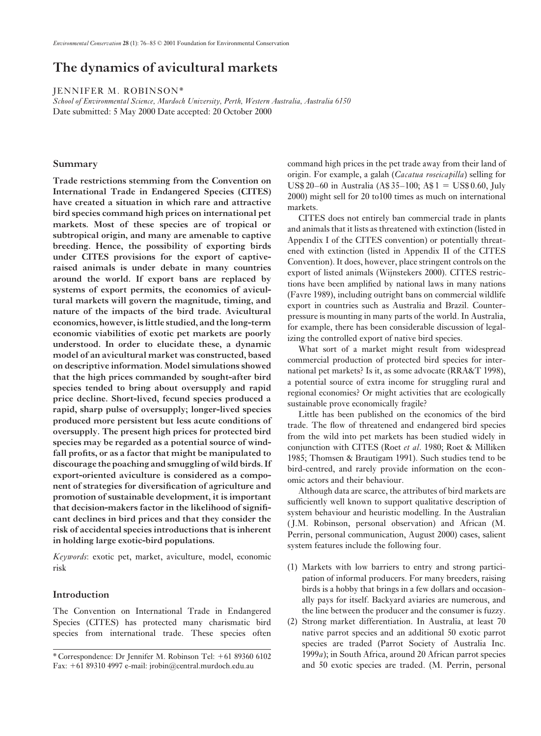# **The dynamics of avicultural markets**

## JENNIFER M. ROBINSON\*

*School of Environmental Science, Murdoch University, Perth, Western Australia, Australia 6150* Date submitted: 5 May 2000 Date accepted: 20 October 2000

## **Summary**

**Trade restrictions stemming from the Convention on International Trade in Endangered Species (CITES) have created a situation in which rare and attractive bird species command high prices on international pet markets. Most of these species are of tropical or subtropical origin, and many are amenable to captive breeding. Hence, the possibility of exporting birds under CITES provisions for the export of captiveraised animals is under debate in many countries around the world. If export bans are replaced by systems of export permits, the economics of avicultural markets will govern the magnitude, timing, and nature of the impacts of the bird trade. Avicultural economics, however, is little studied, and the long-term economic viabilities of exotic pet markets are poorly understood. In order to elucidate these, a dynamic model of an avicultural market was constructed, based on descriptive information. Model simulations showed that the high prices commanded by sought-after bird species tended to bring about oversupply and rapid price decline. Short-lived, fecund species produced a rapid, sharp pulse of oversupply; longer-lived species produced more persistent but less acute conditions of oversupply. The present high prices for protected bird species may be regarded as a potential source of windfall profits, or as a factor that might be manipulated to discourage the poaching and smuggling of wild birds. If export-oriented aviculture is considered as a component of strategies for diversification of agriculture and promotion of sustainable development, it is important that decision-makers factor in the likelihood of significant declines in bird prices and that they consider the risk of accidental species introductions that is inherent in holding large exotic-bird populations.**

*Keywords*: exotic pet, market, aviculture, model, economic risk

## **Introduction**

The Convention on International Trade in Endangered Species (CITES) has protected many charismatic bird species from international trade. These species often command high prices in the pet trade away from their land of origin. For example, a galah (*Cacatua roseicapilla*) selling for US\$ 20-60 in Australia (A\$ 35-100; A\$  $1 =$  US\$ 0.60, July 2000) might sell for 20 to100 times as much on international markets.

CITES does not entirely ban commercial trade in plants and animals that it lists as threatened with extinction (listed in Appendix I of the CITES convention) or potentially threatened with extinction (listed in Appendix II of the CITES Convention). It does, however, place stringent controls on the export of listed animals (Wijnstekers 2000). CITES restrictions have been amplified by national laws in many nations (Favre 1989), including outright bans on commercial wildlife export in countries such as Australia and Brazil. Counterpressure is mounting in many parts of the world. In Australia, for example, there has been considerable discussion of legalizing the controlled export of native bird species.

What sort of a market might result from widespread commercial production of protected bird species for international pet markets? Is it, as some advocate (RRA&T 1998), a potential source of extra income for struggling rural and regional economies? Or might activities that are ecologically sustainable prove economically fragile?

Little has been published on the economics of the bird trade. The flow of threatened and endangered bird species from the wild into pet markets has been studied widely in conjunction with CITES (Roet *et al*. 1980; Roet & Milliken 1985; Thomsen & Brautigam 1991). Such studies tend to be bird-centred, and rarely provide information on the economic actors and their behaviour.

Although data are scarce, the attributes of bird markets are sufficiently well known to support qualitative description of system behaviour and heuristic modelling. In the Australian ( J.M. Robinson, personal observation) and African (M. Perrin, personal communication, August 2000) cases, salient system features include the following four.

- (1) Markets with low barriers to entry and strong participation of informal producers. For many breeders, raising birds is a hobby that brings in a few dollars and occasionally pays for itself. Backyard aviaries are numerous, and the line between the producer and the consumer is fuzzy.
- (2) Strong market differentiation. In Australia, at least 70 native parrot species and an additional 50 exotic parrot species are traded (Parrot Society of Australia Inc. 1999*a*); in South Africa, around 20 African parrot species and 50 exotic species are traded. (M. Perrin, personal

<sup>\*</sup> Correspondence: Dr Jennifer M. Robinson Tel: 61 89360 6102 Fax: 61 89310 4997 e-mail: jrobin@central.murdoch.edu.au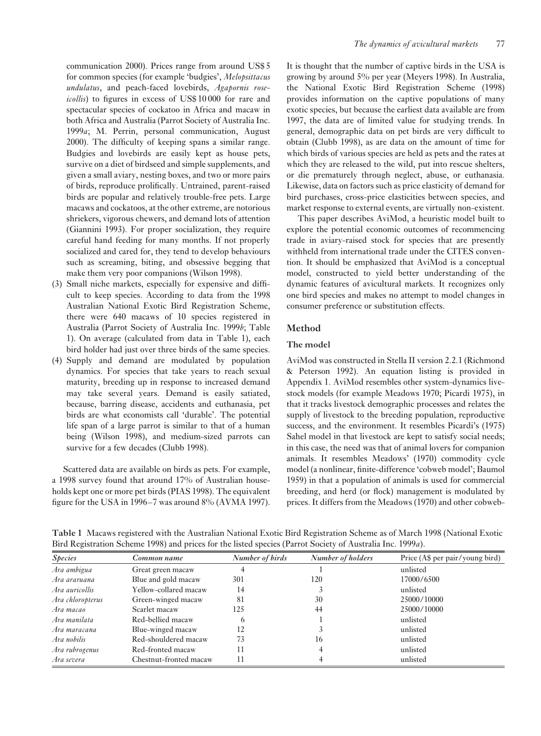communication 2000). Prices range from around US\$ 5 for common species (for example 'budgies', *Melopsittacus undulatus*, and peach-faced lovebirds, *Agapornis roseicollis*) to figures in excess of US\$ 10 000 for rare and spectacular species of cockatoo in Africa and macaw in both Africa and Australia (Parrot Society of Australia Inc. 1999*a*; M. Perrin, personal communication, August 2000). The difficulty of keeping spans a similar range. Budgies and lovebirds are easily kept as house pets, survive on a diet of birdseed and simple supplements, and given a small aviary, nesting boxes, and two or more pairs of birds, reproduce prolifically. Untrained, parent-raised birds are popular and relatively trouble-free pets. Large macaws and cockatoos, at the other extreme, are notorious shriekers, vigorous chewers, and demand lots of attention (Giannini 1993). For proper socialization, they require careful hand feeding for many months. If not properly socialized and cared for, they tend to develop behaviours such as screaming, biting, and obsessive begging that make them very poor companions (Wilson 1998).

- (3) Small niche markets, especially for expensive and difficult to keep species. According to data from the 1998 Australian National Exotic Bird Registration Scheme, there were 640 macaws of 10 species registered in Australia (Parrot Society of Australia Inc. 1999*b*; Table 1). On average (calculated from data in Table 1), each bird holder had just over three birds of the same species.
- (4) Supply and demand are modulated by population dynamics. For species that take years to reach sexual maturity, breeding up in response to increased demand may take several years. Demand is easily satiated, because, barring disease, accidents and euthanasia, pet birds are what economists call 'durable'. The potential life span of a large parrot is similar to that of a human being (Wilson 1998), and medium-sized parrots can survive for a few decades (Clubb 1998).

Scattered data are available on birds as pets. For example, a 1998 survey found that around 17% of Australian households kept one or more pet birds (PIAS 1998). The equivalent figure for the USA in 1996–7 was around 8% (AVMA 1997).

It is thought that the number of captive birds in the USA is growing by around 5% per year (Meyers 1998). In Australia, the National Exotic Bird Registration Scheme (1998) provides information on the captive populations of many exotic species, but because the earliest data available are from 1997, the data are of limited value for studying trends. In general, demographic data on pet birds are very difficult to obtain (Clubb 1998), as are data on the amount of time for which birds of various species are held as pets and the rates at which they are released to the wild, put into rescue shelters, or die prematurely through neglect, abuse, or euthanasia. Likewise, data on factors such as price elasticity of demand for bird purchases, cross-price elasticities between species, and market response to external events, are virtually non-existent.

This paper describes AviMod, a heuristic model built to explore the potential economic outcomes of recommencing trade in aviary-raised stock for species that are presently withheld from international trade under the CITES convention. It should be emphasized that AviMod is a conceptual model, constructed to yield better understanding of the dynamic features of avicultural markets. It recognizes only one bird species and makes no attempt to model changes in consumer preference or substitution effects.

# **Method**

#### **The model**

AviMod was constructed in Stella II version 2.2.1 (Richmond & Peterson 1992). An equation listing is provided in Appendix 1. AviMod resembles other system-dynamics livestock models (for example Meadows 1970; Picardi 1975), in that it tracks livestock demographic processes and relates the supply of livestock to the breeding population, reproductive success, and the environment. It resembles Picardi's (1975) Sahel model in that livestock are kept to satisfy social needs; in this case, the need was that of animal lovers for companion animals. It resembles Meadows' (1970) commodity cycle model (a nonlinear, finite-difference 'cobweb model'; Baumol 1959) in that a population of animals is used for commercial breeding, and herd (or flock) management is modulated by prices. It differs from the Meadows (1970) and other cobweb-

| <i>Species</i>   | Common name            | Number of birds | Number of holders | Price (A\$ per pair/young bird) |
|------------------|------------------------|-----------------|-------------------|---------------------------------|
| Ara ambigua      | Great green macaw      |                 |                   | unlisted                        |
| Ara araruana     | Blue and gold macaw    | 301             | 120               | 17000/6500                      |
| Ara auricollis   | Yellow-collared macaw  | 14              |                   | unlisted                        |
| Ara chloropterus | Green-winged macaw     | 81              | 30                | 25000/10000                     |
| Ara macao        | Scarlet macaw          | 125             | 44                | 25000/10000                     |
| Ara manilata     | Red-bellied macaw      | h               |                   | unlisted                        |
| Ara maracana     | Blue-winged macaw      | 12              |                   | unlisted                        |
| Ara nobilis      | Red-shouldered macaw   | 73              | 16                | unlisted                        |
| Ara rubrogenus   | Red-fronted macaw      | 11              |                   | unlisted                        |
| Ara severa       | Chestnut-fronted macaw | 11              |                   | unlisted                        |

**Table 1** Macaws registered with the Australian National Exotic Bird Registration Scheme as of March 1998 (National Exotic Bird Registration Scheme 1998) and prices for the listed species (Parrot Society of Australia Inc. 1999*a*).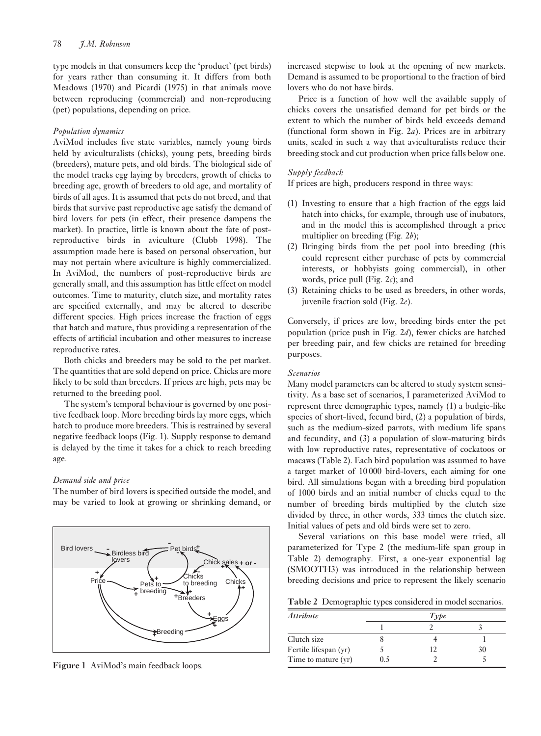type models in that consumers keep the 'product' (pet birds) for years rather than consuming it. It differs from both Meadows (1970) and Picardi (1975) in that animals move between reproducing (commercial) and non-reproducing (pet) populations, depending on price.

# *Population dynamics*

AviMod includes five state variables, namely young birds held by aviculturalists (chicks), young pets, breeding birds (breeders), mature pets, and old birds. The biological side of the model tracks egg laying by breeders, growth of chicks to breeding age, growth of breeders to old age, and mortality of birds of all ages. It is assumed that pets do not breed, and that birds that survive past reproductive age satisfy the demand of bird lovers for pets (in effect, their presence dampens the market). In practice, little is known about the fate of postreproductive birds in aviculture (Clubb 1998). The assumption made here is based on personal observation, but may not pertain where aviculture is highly commercialized. In AviMod, the numbers of post-reproductive birds are generally small, and this assumption has little effect on model outcomes. Time to maturity, clutch size, and mortality rates are specified externally, and may be altered to describe different species. High prices increase the fraction of eggs that hatch and mature, thus providing a representation of the effects of artificial incubation and other measures to increase reproductive rates.

Both chicks and breeders may be sold to the pet market. The quantities that are sold depend on price. Chicks are more likely to be sold than breeders. If prices are high, pets may be returned to the breeding pool.

The system's temporal behaviour is governed by one positive feedback loop. More breeding birds lay more eggs, which hatch to produce more breeders. This is restrained by several negative feedback loops (Fig. 1). Supply response to demand is delayed by the time it takes for a chick to reach breeding age.

# *Demand side and price*

The number of bird lovers is specified outside the model, and may be varied to look at growing or shrinking demand, or



**Figure 1** AviMod's main feedback loops*.*

increased stepwise to look at the opening of new markets. Demand is assumed to be proportional to the fraction of bird lovers who do not have birds.

Price is a function of how well the available supply of chicks covers the unsatisfied demand for pet birds or the extent to which the number of birds held exceeds demand (functional form shown in Fig. 2*a*). Prices are in arbitrary units, scaled in such a way that aviculturalists reduce their breeding stock and cut production when price falls below one.

# *Supply feedback*

If prices are high, producers respond in three ways:

- (1) Investing to ensure that a high fraction of the eggs laid hatch into chicks, for example, through use of inubators, and in the model this is accomplished through a price multiplier on breeding (Fig. 2*b*);
- (2) Bringing birds from the pet pool into breeding (this could represent either purchase of pets by commercial interests, or hobbyists going commercial), in other words, price pull (Fig. 2*c*); and
- (3) Retaining chicks to be used as breeders, in other words, juvenile fraction sold (Fig. 2*e*).

Conversely, if prices are low, breeding birds enter the pet population (price push in Fig. 2*d*), fewer chicks are hatched per breeding pair, and few chicks are retained for breeding purposes.

## *Scenarios*

Many model parameters can be altered to study system sensitivity. As a base set of scenarios, I parameterized AviMod to represent three demographic types, namely (1) a budgie-like species of short-lived, fecund bird, (2) a population of birds, such as the medium-sized parrots, with medium life spans and fecundity, and (3) a population of slow-maturing birds with low reproductive rates, representative of cockatoos or macaws (Table 2). Each bird population was assumed to have a target market of 10 000 bird-lovers, each aiming for one bird. All simulations began with a breeding bird population of 1000 birds and an initial number of chicks equal to the number of breeding birds multiplied by the clutch size divided by three, in other words, 333 times the clutch size. Initial values of pets and old birds were set to zero.

Several variations on this base model were tried, all parameterized for Type 2 (the medium-life span group in Table 2) demography. First, a one-year exponential lag (SMOOTH3) was introduced in the relationship between breeding decisions and price to represent the likely scenario

**Table 2** Demographic types considered in model scenarios.

| <i>Attribute</i>      | $T\nu$ pe |  |    |
|-----------------------|-----------|--|----|
|                       |           |  |    |
| Clutch size           |           |  |    |
| Fertile lifespan (yr) |           |  | 30 |
| Time to mature (yr)   | 0.5       |  |    |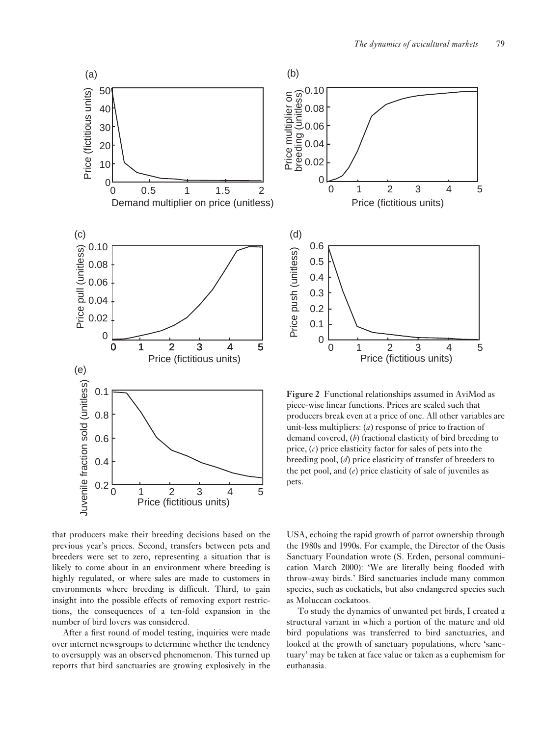



**Figure 2** Functional relationships assumed in AviMod as piece-wise linear functions. Prices are scaled such that producers break even at a price of one. All other variables are unit-less multipliers: (*a*) response of price to fraction of demand covered, (*b*) fractional elasticity of bird breeding to price, (*c*) price elasticity factor for sales of pets into the breeding pool, (*d*) price elasticity of transfer of breeders to the pet pool, and (*e*) price elasticity of sale of juveniles as pets.

that producers make their breeding decisions based on the previous year's prices. Second, transfers between pets and breeders were set to zero, representing a situation that is likely to come about in an environment where breeding is highly regulated, or where sales are made to customers in environments where breeding is difficult. Third, to gain insight into the possible effects of removing export restrictions, the consequences of a ten-fold expansion in the number of bird lovers was considered.

After a first round of model testing, inquiries were made over internet newsgroups to determine whether the tendency to oversupply was an observed phenomenon. This turned up reports that bird sanctuaries are growing explosively in the

USA, echoing the rapid growth of parrot ownership through the 1980s and 1990s. For example, the Director of the Oasis Sanctuary Foundation wrote (S. Erden, personal communication March 2000): 'We are literally being flooded with throw-away birds.' Bird sanctuaries include many common species, such as cockatiels, but also endangered species such as Moluccan cockatoos.

To study the dynamics of unwanted pet birds, I created a structural variant in which a portion of the mature and old bird populations was transferred to bird sanctuaries, and looked at the growth of sanctuary populations, where 'sanctuary' may be taken at face value or taken as a euphemism for euthanasia.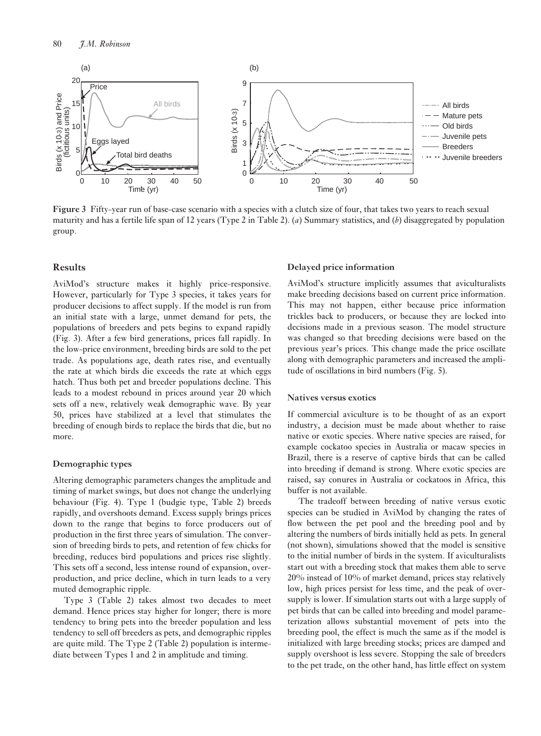

**Figure 3** Fifty-year run of base-case scenario with a species with a clutch size of four, that takes two years to reach sexual maturity and has a fertile life span of 12 years (Type 2 in Table 2). (*a*) Summary statistics, and (*b*) disaggregated by population group.

## **Results**

AviMod's structure makes it highly price-responsive. However, particularly for Type 3 species, it takes years for producer decisions to affect supply. If the model is run from an initial state with a large, unmet demand for pets, the populations of breeders and pets begins to expand rapidly (Fig. 3). After a few bird generations, prices fall rapidly. In the low-price environment, breeding birds are sold to the pet trade. As populations age, death rates rise, and eventually the rate at which birds die exceeds the rate at which eggs hatch. Thus both pet and breeder populations decline. This leads to a modest rebound in prices around year 20 which sets off a new, relatively weak demographic wave. By year 50, prices have stabilized at a level that stimulates the breeding of enough birds to replace the birds that die, but no more.

## **Demographic types**

Altering demographic parameters changes the amplitude and timing of market swings, but does not change the underlying behaviour (Fig. 4). Type 1 (budgie type, Table 2) breeds rapidly, and overshoots demand. Excess supply brings prices down to the range that begins to force producers out of production in the first three years of simulation. The conversion of breeding birds to pets, and retention of few chicks for breeding, reduces bird populations and prices rise slightly. This sets off a second, less intense round of expansion, overproduction, and price decline, which in turn leads to a very muted demographic ripple.

Type 3 (Table 2) takes almost two decades to meet demand. Hence prices stay higher for longer; there is more tendency to bring pets into the breeder population and less tendency to sell off breeders as pets, and demographic ripples are quite mild. The Type 2 (Table 2) population is intermediate between Types 1 and 2 in amplitude and timing.

#### **Delayed price information**

AviMod's structure implicitly assumes that aviculturalists make breeding decisions based on current price information. This may not happen, either because price information trickles back to producers, or because they are locked into decisions made in a previous season. The model structure was changed so that breeding decisions were based on the previous year's prices. This change made the price oscillate along with demographic parameters and increased the amplitude of oscillations in bird numbers (Fig. 5).

## **Natives versus exotics**

If commercial aviculture is to be thought of as an export industry, a decision must be made about whether to raise native or exotic species. Where native species are raised, for example cockatoo species in Australia or macaw species in Brazil, there is a reserve of captive birds that can be called into breeding if demand is strong. Where exotic species are raised, say conures in Australia or cockatoos in Africa, this buffer is not available.

The tradeoff between breeding of native versus exotic species can be studied in AviMod by changing the rates of flow between the pet pool and the breeding pool and by altering the numbers of birds initially held as pets. In general (not shown), simulations showed that the model is sensitive to the initial number of birds in the system. If aviculturalists start out with a breeding stock that makes them able to serve 20% instead of 10% of market demand, prices stay relatively low, high prices persist for less time, and the peak of oversupply is lower. If simulation starts out with a large supply of pet birds that can be called into breeding and model parameterization allows substantial movement of pets into the breeding pool, the effect is much the same as if the model is initialized with large breeding stocks; prices are damped and supply overshoot is less severe. Stopping the sale of breeders to the pet trade, on the other hand, has little effect on system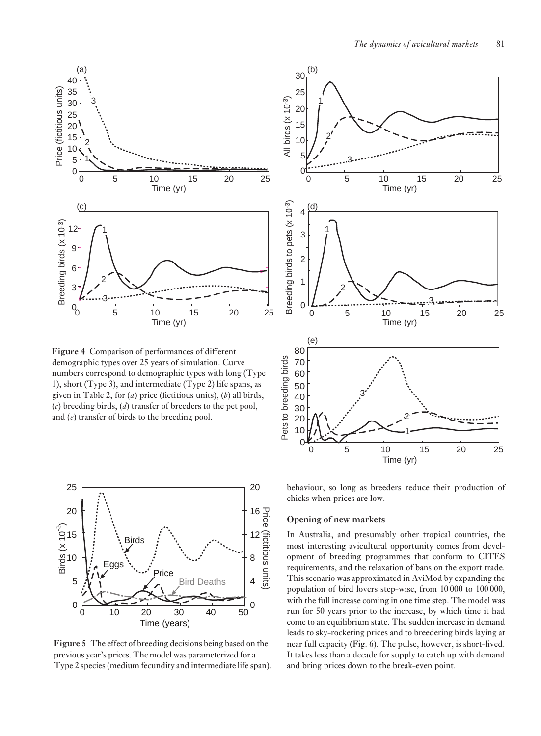



**Figure 4** Comparison of performances of different demographic types over 25 years of simulation. Curve numbers correspond to demographic types with long (Type 1), short (Type 3), and intermediate (Type 2) life spans, as given in Table 2, for (*a*) price (fictitious units), (*b*) all birds, (*c*) breeding birds, (*d*) transfer of breeders to the pet pool, and (*e*) transfer of birds to the breeding pool.



**Figure 5** The effect of breeding decisions being based on the previous year's prices. The model was parameterized for a Type 2 species (medium fecundity and intermediate life span).



behaviour, so long as breeders reduce their production of chicks when prices are low.

#### **Opening of new markets**

In Australia, and presumably other tropical countries, the most interesting avicultural opportunity comes from development of breeding programmes that conform to CITES requirements, and the relaxation of bans on the export trade. This scenario was approximated in AviMod by expanding the population of bird lovers step-wise, from 10 000 to 100 000, with the full increase coming in one time step. The model was run for 50 years prior to the increase, by which time it had come to an equilibrium state. The sudden increase in demand leads to sky-rocketing prices and to breedering birds laying at near full capacity (Fig. 6). The pulse, however, is short-lived. It takes less than a decade for supply to catch up with demand and bring prices down to the break-even point.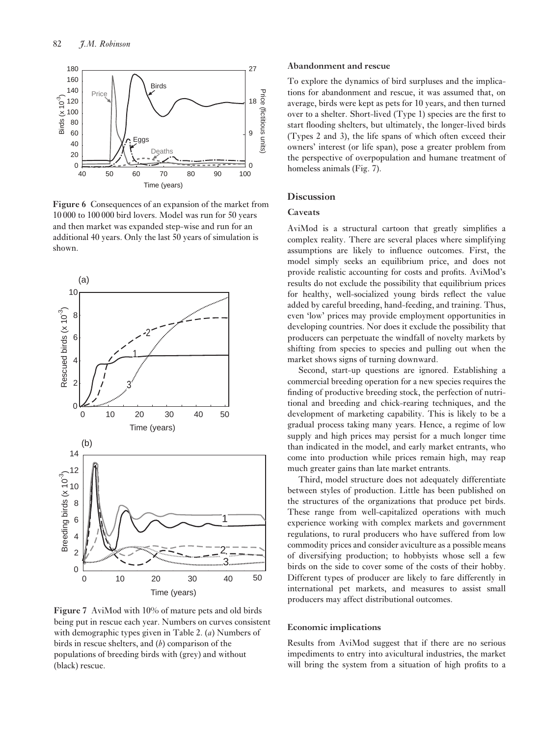

**Figure 6** Consequences of an expansion of the market from 10 000 to 100 000 bird lovers. Model was run for 50 years and then market was expanded step-wise and run for an additional 40 years. Only the last 50 years of simulation is shown.



Figure 7 AviMod with 10% of mature pets and old birds being put in rescue each year. Numbers on curves consistent with demographic types given in Table 2. (*a*) Numbers of birds in rescue shelters, and (*b*) comparison of the populations of breeding birds with (grey) and without (black) rescue.

#### **Abandonment and rescue**

To explore the dynamics of bird surpluses and the implications for abandonment and rescue, it was assumed that, on average, birds were kept as pets for 10 years, and then turned over to a shelter. Short-lived (Type 1) species are the first to start flooding shelters, but ultimately, the longer-lived birds (Types 2 and 3), the life spans of which often exceed their owners' interest (or life span), pose a greater problem from the perspective of overpopulation and humane treatment of homeless animals (Fig. 7).

# **Discussion**

# **Caveats**

AviMod is a structural cartoon that greatly simplifies a complex reality. There are several places where simplifying assumptions are likely to influence outcomes. First, the model simply seeks an equilibrium price, and does not provide realistic accounting for costs and profits. AviMod's results do not exclude the possibility that equilibrium prices for healthy, well-socialized young birds reflect the value added by careful breeding, hand-feeding, and training. Thus, even 'low' prices may provide employment opportunities in developing countries. Nor does it exclude the possibility that producers can perpetuate the windfall of novelty markets by shifting from species to species and pulling out when the market shows signs of turning downward.

Second, start-up questions are ignored. Establishing a commercial breeding operation for a new species requires the finding of productive breeding stock, the perfection of nutritional and breeding and chick-rearing techniques, and the development of marketing capability. This is likely to be a gradual process taking many years. Hence, a regime of low supply and high prices may persist for a much longer time than indicated in the model, and early market entrants, who come into production while prices remain high, may reap much greater gains than late market entrants.

Third, model structure does not adequately differentiate between styles of production. Little has been published on the structures of the organizations that produce pet birds. These range from well-capitalized operations with much experience working with complex markets and government regulations, to rural producers who have suffered from low commodity prices and consider aviculture as a possible means of diversifying production; to hobbyists whose sell a few birds on the side to cover some of the costs of their hobby. Different types of producer are likely to fare differently in international pet markets, and measures to assist small producers may affect distributional outcomes.

#### **Economic implications**

Results from AviMod suggest that if there are no serious impediments to entry into avicultural industries, the market will bring the system from a situation of high profits to a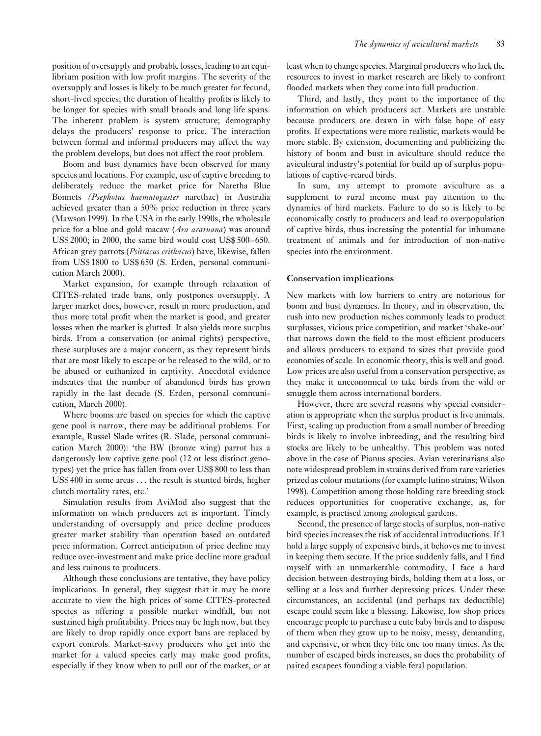position of oversupply and probable losses, leading to an equilibrium position with low profit margins. The severity of the oversupply and losses is likely to be much greater for fecund, short-lived species; the duration of healthy profits is likely to be longer for species with small broods and long life spans. The inherent problem is system structure; demography delays the producers' response to price. The interaction between formal and informal producers may affect the way the problem develops, but does not affect the root problem.

Boom and bust dynamics have been observed for many species and locations. For example, use of captive breeding to deliberately reduce the market price for Naretha Blue Bonnets *(Psephotus haematogaster* narethae) in Australia achieved greater than a 50% price reduction in three years (Mawson 1999). In the USA in the early 1990s, the wholesale price for a blue and gold macaw (*Ara araruana*) was around US\$ 2000; in 2000, the same bird would cost US\$ 500–650. African grey parrots (*Psittacus erithacus*) have, likewise, fallen from US\$ 1800 to US\$ 650 (S. Erden, personal communication March 2000).

Market expansion, for example through relaxation of CITES-related trade bans, only postpones oversupply. A larger market does, however, result in more production, and thus more total profit when the market is good, and greater losses when the market is glutted. It also yields more surplus birds. From a conservation (or animal rights) perspective, these surpluses are a major concern, as they represent birds that are most likely to escape or be released to the wild, or to be abused or euthanized in captivity. Anecdotal evidence indicates that the number of abandoned birds has grown rapidly in the last decade (S. Erden, personal communication, March 2000).

Where booms are based on species for which the captive gene pool is narrow, there may be additional problems. For example, Russel Slade writes (R. Slade, personal communication March 2000): 'the BW (bronze wing) parrot has a dangerously low captive gene pool (12 or less distinct genotypes) yet the price has fallen from over US\$ 800 to less than US\$ 400 in some areas . . . the result is stunted birds, higher clutch mortality rates, etc.'

Simulation results from AviMod also suggest that the information on which producers act is important. Timely understanding of oversupply and price decline produces greater market stability than operation based on outdated price information. Correct anticipation of price decline may reduce over-investment and make price decline more gradual and less ruinous to producers.

Although these conclusions are tentative, they have policy implications. In general, they suggest that it may be more accurate to view the high prices of some CITES-protected species as offering a possible market windfall, but not sustained high profitability. Prices may be high now, but they are likely to drop rapidly once export bans are replaced by export controls. Market-savvy producers who get into the market for a valued species early may make good profits, especially if they know when to pull out of the market, or at

least when to change species. Marginal producers who lack the resources to invest in market research are likely to confront flooded markets when they come into full production.

Third, and lastly, they point to the importance of the information on which producers act. Markets are unstable because producers are drawn in with false hope of easy profits. If expectations were more realistic, markets would be more stable. By extension, documenting and publicizing the history of boom and bust in aviculture should reduce the avicultural industry's potential for build up of surplus populations of captive-reared birds.

In sum, any attempt to promote aviculture as a supplement to rural income must pay attention to the dynamics of bird markets. Failure to do so is likely to be economically costly to producers and lead to overpopulation of captive birds, thus increasing the potential for inhumane treatment of animals and for introduction of non-native species into the environment.

#### **Conservation implications**

New markets with low barriers to entry are notorious for boom and bust dynamics. In theory, and in observation, the rush into new production niches commonly leads to product surplusses, vicious price competition, and market 'shake-out' that narrows down the field to the most efficient producers and allows producers to expand to sizes that provide good economies of scale. In economic theory, this is well and good. Low prices are also useful from a conservation perspective, as they make it uneconomical to take birds from the wild or smuggle them across international borders.

However, there are several reasons why special consideration is appropriate when the surplus product is live animals. First, scaling up production from a small number of breeding birds is likely to involve inbreeding, and the resulting bird stocks are likely to be unhealthy. This problem was noted above in the case of Pionus species. Avian veterinarians also note widespread problem in strains derived from rare varieties prized as colour mutations (for example lutino strains; Wilson 1998). Competition among those holding rare breeding stock reduces opportunities for cooperative exchange, as, for example, is practised among zoological gardens.

Second, the presence of large stocks of surplus, non-native bird species increases the risk of accidental introductions. If I hold a large supply of expensive birds, it behoves me to invest in keeping them secure. If the price suddenly falls, and I find myself with an unmarketable commodity, I face a hard decision between destroying birds, holding them at a loss, or selling at a loss and further depressing prices. Under these circumstances, an accidental (and perhaps tax deductible) escape could seem like a blessing. Likewise, low shop prices encourage people to purchase a cute baby birds and to dispose of them when they grow up to be noisy, messy, demanding, and expensive, or when they bite one too many times. As the number of escaped birds increases, so does the probability of paired escapees founding a viable feral population.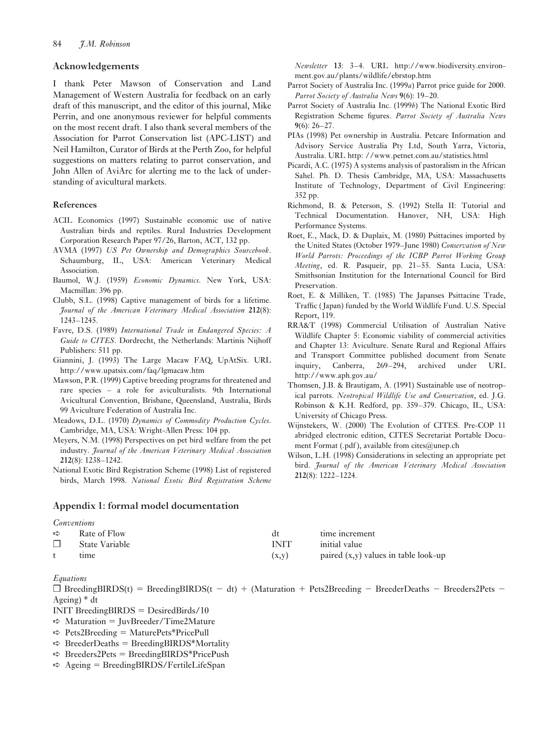# **Acknowledgements**

I thank Peter Mawson of Conservation and Land Management of Western Australia for feedback on an early draft of this manuscript, and the editor of this journal, Mike Perrin, and one anonymous reviewer for helpful comments on the most recent draft. I also thank several members of the Association for Parrot Conservation list (APC-LIST) and Neil Hamilton, Curator of Birds at the Perth Zoo, for helpful suggestions on matters relating to parrot conservation, and John Allen of AviArc for alerting me to the lack of understanding of avicultural markets.

## **References**

- ACIL Economics (1997) Sustainable economic use of native Australian birds and reptiles. Rural Industries Development Corporation Research Paper 97/26, Barton, ACT, 132 pp.
- AVMA (1997) *US Pet Ownership and Demographics Sourcebook*. Schaumburg, IL, USA: American Veterinary Medical Association.
- Baumol, W.J. (1959) *Economic Dynamics*. New York, USA: Macmillan: 396 pp.
- Clubb, S.L. (1998) Captive management of birds for a lifetime. *Journal of the American Veterinary Medical Association* **212**(8): 1243–1245.

Favre, D.S. (1989) *International Trade in Endangered Species: A Guide to CITES*. Dordrecht, the Netherlands: Martinis Nijhoff Publishers: 511 pp.

- Giannini, J. (1993) The Large Macaw FAQ, UpAtSix. URL http://www.upatsix.com/faq/lgmacaw.htm
- Mawson, P.R. (1999) Captive breeding programs for threatened and rare species – a role for aviculturalists. 9th International Avicultural Convention, Brisbane, Queensland, Australia, Birds 99 Aviculture Federation of Australia Inc.
- Meadows, D.L. (1970) *Dynamics of Commodity Production Cycles*. Cambridge, MA, USA: Wright-Allen Press: 104 pp.
- Meyers, N.M. (1998) Perspectives on pet bird welfare from the pet industry. *Journal of the American Veterinary Medical Association* **212**(8): 1238–1242.
- National Exotic Bird Registration Scheme (1998) List of registered birds, March 1998. *National Exotic Bird Registration Scheme*

#### **Appendix 1: formal model documentation**

*Newsletter* **13**: 3–4. URL http://www.biodiversity.environment.gov.au/plants/wildlife/ebrstop.htm

- Parrot Society of Australia Inc. (1999*a*) Parrot price guide for 2000. *Parrot Society of Australia News* **9**(6): 19–20.
- Parrot Society of Australia Inc. (1999*b*) The National Exotic Bird Registration Scheme figures. *Parrot Society of Australia News* **9**(6): 26–27.
- PIAs (1998) Pet ownership in Australia. Petcare Information and Advisory Service Australia Pty Ltd, South Yarra, Victoria, Australia. URL http: //www.petnet.com.au/statistics.html
- Picardi, A.C. (1975) A systems analysis of pastoralism in the African Sahel. Ph. D. Thesis Cambridge, MA, USA: Massachusetts Institute of Technology, Department of Civil Engineering: 352 pp.
- Richmond, B. & Peterson, S. (1992) Stella II: Tutorial and Technical Documentation. Hanover, NH, USA: High Performance Systems.
- Roet, E., Mack, D. & Duplaix, M. (1980) Psittacines imported by the United States (October 1979–June 1980) *Conservation of New World Parrots: Proceedings of the ICBP Parrot Working Group Meeting*, ed. R. Pasqueir, pp. 21–55. Santa Lucia, USA: Smithsonian Institution for the International Council for Bird Preservation.
- Roet, E. & Milliken, T. (1985) The Japanses Psittacine Trade, Traffic ( Japan) funded by the World Wildlife Fund. U.S. Special Report, 119.
- RRA&T (1998) Commercial Utilisation of Australian Native Wildlife Chapter 5: Economic viability of commercial activities and Chapter 13: Aviculture. Senate Rural and Regional Affairs and Transport Committee published document from Senate inquiry, Canberra, 269–294, archived under URL http://www.aph.gov.au/
- Thomsen, J.B. & Brautigam, A. (1991) Sustainable use of neotropical parrots. *Neotropical Wildlife Use and Conservation*, ed. J.G. Robinson & K.H. Redford, pp. 359–379. Chicago, IL, USA: University of Chicago Press.
- Wijnstekers, W. (2000) The Evolution of CITES. Pre-COP 11 abridged electronic edition, CITES Secretariat Portable Document Format (.pdf ), available from cites@unep.ch
- Wilson, L.H. (1998) Considerations in selecting an appropriate pet bird. *Journal of the American Veterinary Medical Association* **212**(8): 1222–1224.

| <b>Conventions</b> |                       |             |                                        |
|--------------------|-----------------------|-------------|----------------------------------------|
| ⇨                  | Rate of Flow          | dt          | time increment                         |
| Π.                 | <b>State Variable</b> | <b>INIT</b> | initial value                          |
|                    | time                  | (x,y)       | paired $(x,y)$ values in table look-up |

*Equations*

 $\Box$  BreedingBIRDS(t) = BreedingBIRDS(t - dt) + (Maturation + Pets2Breeding - BreederDeaths - Breeders2Pets -Ageing) \* dt

- $INT BreedingBIRDS = DesignedBirds/10$
- ➪ Maturation JuvBreeder/Time2Mature
- $\Rightarrow$  Pets2Breeding = MaturePets\*PricePull
- $\Rightarrow$  BreederDeaths = BreedingBIRDS\*Mortality
- $\Rightarrow$  Breeders2Pets = BreedingBIRDS\*PricePush
- ➪ Ageing BreedingBIRDS/FertileLifeSpan